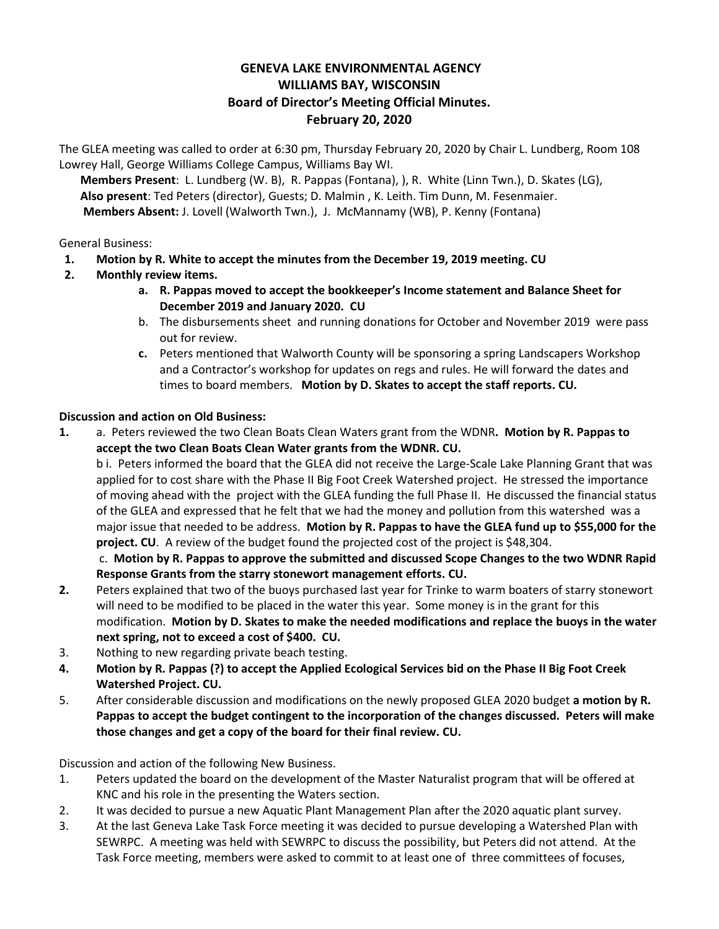## **GENEVA LAKE ENVIRONMENTAL AGENCY WILLIAMS BAY, WISCONSIN Board of Director's Meeting Official Minutes. February 20, 2020**

The GLEA meeting was called to order at 6:30 pm, Thursday February 20, 2020 by Chair L. Lundberg, Room 108 Lowrey Hall, George Williams College Campus, Williams Bay WI.

**Members Present**: L. Lundberg (W. B), R. Pappas (Fontana), ), R. White (Linn Twn.), D. Skates (LG), **Also present**: Ted Peters (director), Guests; D. Malmin , K. Leith. Tim Dunn, M. Fesenmaier. **Members Absent:** J. Lovell (Walworth Twn.), J. McMannamy (WB), P. Kenny (Fontana)

General Business:

- **1. Motion by R. White to accept the minutes from the December 19, 2019 meeting. CU**
- **2. Monthly review items.**
	- **a. R. Pappas moved to accept the bookkeeper's Income statement and Balance Sheet for December 2019 and January 2020. CU**
	- b. The disbursements sheet and running donations for October and November 2019 were pass out for review.
	- **c.** Peters mentioned that Walworth County will be sponsoring a spring Landscapers Workshop and a Contractor's workshop for updates on regs and rules. He will forward the dates and times to board members. **Motion by D. Skates to accept the staff reports. CU.**

## **Discussion and action on Old Business:**

**1.** a. Peters reviewed the two Clean Boats Clean Waters grant from the WDNR**. Motion by R. Pappas to accept the two Clean Boats Clean Water grants from the WDNR. CU.** 

b i. Peters informed the board that the GLEA did not receive the Large-Scale Lake Planning Grant that was applied for to cost share with the Phase II Big Foot Creek Watershed project. He stressed the importance of moving ahead with the project with the GLEA funding the full Phase II. He discussed the financial status of the GLEA and expressed that he felt that we had the money and pollution from this watershed was a major issue that needed to be address. **Motion by R. Pappas to have the GLEA fund up to \$55,000 for the project. CU**. A review of the budget found the projected cost of the project is \$48,304.

c. **Motion by R. Pappas to approve the submitted and discussed Scope Changes to the two WDNR Rapid Response Grants from the starry stonewort management efforts. CU.**

- **2.** Peters explained that two of the buoys purchased last year for Trinke to warm boaters of starry stonewort will need to be modified to be placed in the water this year. Some money is in the grant for this modification. **Motion by D. Skates to make the needed modifications and replace the buoys in the water next spring, not to exceed a cost of \$400. CU.**
- 3. Nothing to new regarding private beach testing.
- **4. Motion by R. Pappas (?) to accept the Applied Ecological Services bid on the Phase II Big Foot Creek Watershed Project. CU.**
- 5. After considerable discussion and modifications on the newly proposed GLEA 2020 budget **a motion by R. Pappas to accept the budget contingent to the incorporation of the changes discussed. Peters will make those changes and get a copy of the board for their final review. CU.**

Discussion and action of the following New Business.

- 1. Peters updated the board on the development of the Master Naturalist program that will be offered at KNC and his role in the presenting the Waters section.
- 2. It was decided to pursue a new Aquatic Plant Management Plan after the 2020 aquatic plant survey.
- 3. At the last Geneva Lake Task Force meeting it was decided to pursue developing a Watershed Plan with SEWRPC. A meeting was held with SEWRPC to discuss the possibility, but Peters did not attend. At the Task Force meeting, members were asked to commit to at least one of three committees of focuses,